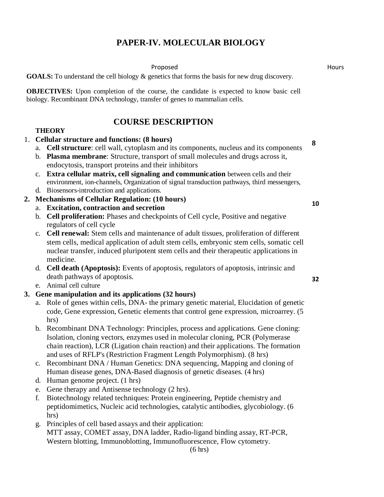# **PAPER-IV. MOLECULAR BIOLOGY**

Proposed **Hours** 

**GOALS:** To understand the cell biology & genetics that forms the basis for new drug discovery.

**OBJECTIVES:** Upon completion of the course, the candidate is expected to know basic cell biology. Recombinant DNA technology, transfer of genes to mammalian cells.

# **COURSE DESCRIPTION**

### **THEORY**

- 1. **Cellular structure and functions: (8 hours)**
	- a. **Cell structure**: cell wall, cytoplasm and its components, nucleus and its components
	- b. **Plasma membrane**: Structure, transport of small molecules and drugs across it, endocytosis, transport proteins and their inhibitors
	- c. **Extra cellular matrix, cell signaling and communication** between cells and their environment, ion-channels, Organization of signal transduction pathways, third messengers,
	- d. Biosensors-introduction and applications.
- **2. Mechanisms of Cellular Regulation: (10 hours)**
	- a. **Excitation, contraction and secretion**
	- b. **Cell proliferation:** Phases and checkpoints of Cell cycle, Positive and negative regulators of cell cycle
	- c. **Cell renewal:** Stem cells and maintenance of adult tissues, proliferation of different stem cells, medical application of adult stem cells, embryonic stem cells, somatic cell nuclear transfer, induced pluripotent stem cells and their therapeutic applications in medicine.
	- d. **Cell death (Apoptosis):** Events of apoptosis, regulators of apoptosis, intrinsic and death pathways of apoptosis.
	- e. Animal cell culture
- **3. Gene manipulation and its applications (32 hours)** 
	- a. Role of genes within cells, DNA- the primary genetic material, Elucidation of genetic code, Gene expression, Genetic elements that control gene expression, microarrey. (5 hrs)
	- b. Recombinant DNA Technology: Principles, process and applications. Gene cloning: Isolation, cloning vectors, enzymes used in molecular cloning, PCR (Polymerase chain reaction), LCR (Ligation chain reaction) and their applications. The formation and uses of RFLP's (Restriction Fragment Length Polymorphism). (8 hrs)
	- c. Recombinant DNA / Human Genetics: DNA sequencing, Mapping and cloning of Human disease genes, DNA-Based diagnosis of genetic diseases. (4 hrs)
	- d. Human genome project. (1 hrs)
	- e. Gene therapy and Antisense technology (2 hrs).
	- f. Biotechnology related techniques: Protein engineering, Peptide chemistry and peptidomimetics, Nucleic acid technologies, catalytic antibodies, glycobiology. (6 hrs)
	- g. Principles of cell based assays and their application: MTT assay, COMET assay, DNA ladder, Radio-ligand binding assay, RT-PCR, Western blotting, Immunoblotting, Immunofluorescence, Flow cytometry.

(6 hrs)

**8**

**10**

**32**